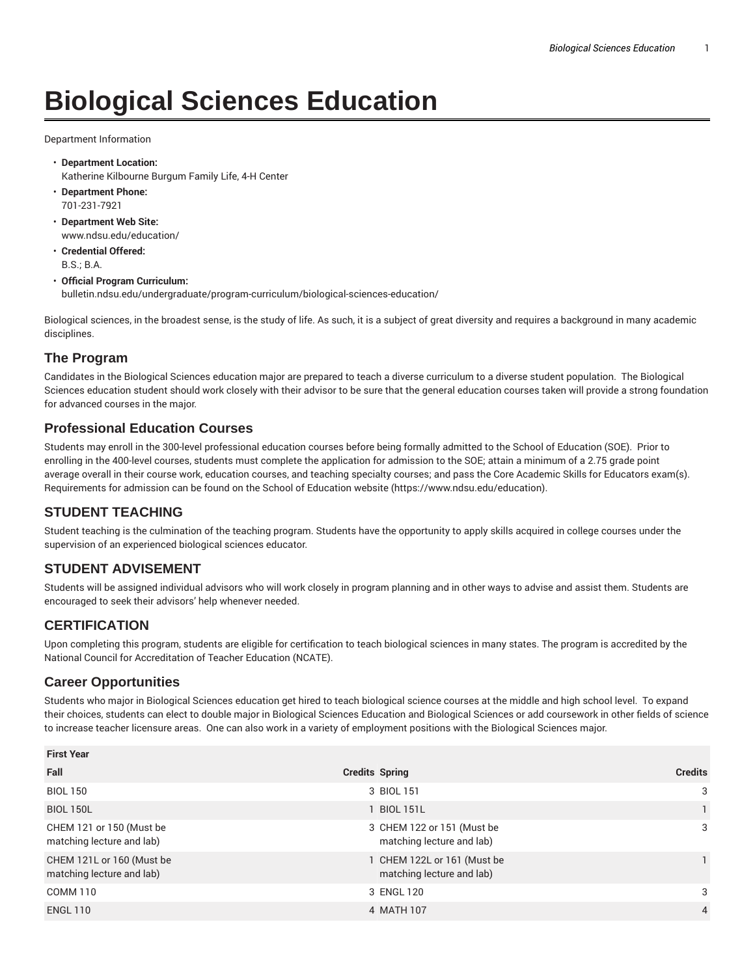# **Biological Sciences Education**

Department Information

- **Department Location:** Katherine Kilbourne Burgum Family Life, 4-H Center
- **Department Phone:** 701-231-7921
- **Department Web Site:** www.ndsu.edu/education/
- **Credential Offered:** B.S.; B.A.

#### • **Official Program Curriculum:** bulletin.ndsu.edu/undergraduate/program-curriculum/biological-sciences-education/

Biological sciences, in the broadest sense, is the study of life. As such, it is a subject of great diversity and requires a background in many academic disciplines.

### **The Program**

Candidates in the Biological Sciences education major are prepared to teach a diverse curriculum to a diverse student population. The Biological Sciences education student should work closely with their advisor to be sure that the general education courses taken will provide a strong foundation for advanced courses in the major.

### **Professional Education Courses**

Students may enroll in the 300-level professional education courses before being formally admitted to the School of Education (SOE). Prior to enrolling in the 400-level courses, students must complete the application for admission to the SOE; attain a minimum of a 2.75 grade point average overall in their course work, education courses, and teaching specialty courses; and pass the Core Academic Skills for Educators exam(s). Requirements for admission can be found on the School of Education website (https://www.ndsu.edu/education).

# **STUDENT TEACHING**

Student teaching is the culmination of the teaching program. Students have the opportunity to apply skills acquired in college courses under the supervision of an experienced biological sciences educator.

# **STUDENT ADVISEMENT**

Students will be assigned individual advisors who will work closely in program planning and in other ways to advise and assist them. Students are encouraged to seek their advisors' help whenever needed.

# **CERTIFICATION**

Upon completing this program, students are eligible for certification to teach biological sciences in many states. The program is accredited by the National Council for Accreditation of Teacher Education (NCATE).

### **Career Opportunities**

Students who major in Biological Sciences education get hired to teach biological science courses at the middle and high school level. To expand their choices, students can elect to double major in Biological Sciences Education and Biological Sciences or add coursework in other fields of science to increase teacher licensure areas. One can also work in a variety of employment positions with the Biological Sciences major.

| <b>First Year</b>                                      |                                                          |                |
|--------------------------------------------------------|----------------------------------------------------------|----------------|
| Fall                                                   | <b>Credits Spring</b>                                    | <b>Credits</b> |
| <b>BIOL 150</b>                                        | 3 BIOL 151                                               | 3              |
| <b>BIOL 150L</b>                                       | <b>BIOL 151L</b>                                         | $\mathbf{1}$   |
| CHEM 121 or 150 (Must be<br>matching lecture and lab)  | 3 CHEM 122 or 151 (Must be<br>matching lecture and lab)  | 3              |
| CHEM 121L or 160 (Must be<br>matching lecture and lab) | 1 CHEM 122L or 161 (Must be<br>matching lecture and lab) |                |
| <b>COMM 110</b>                                        | 3 ENGL 120                                               | 3              |
| <b>ENGL 110</b>                                        | 4 MATH 107                                               | 4              |